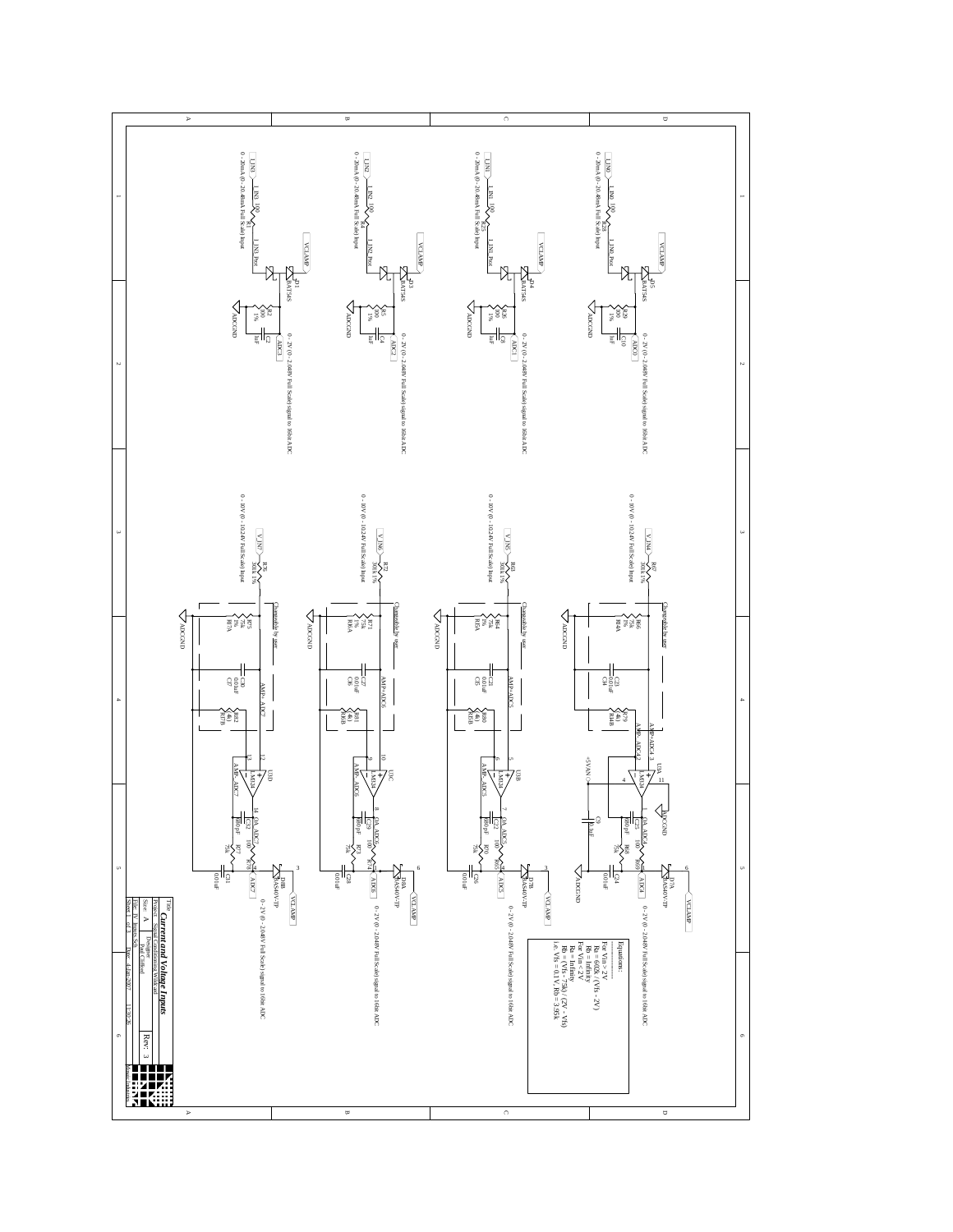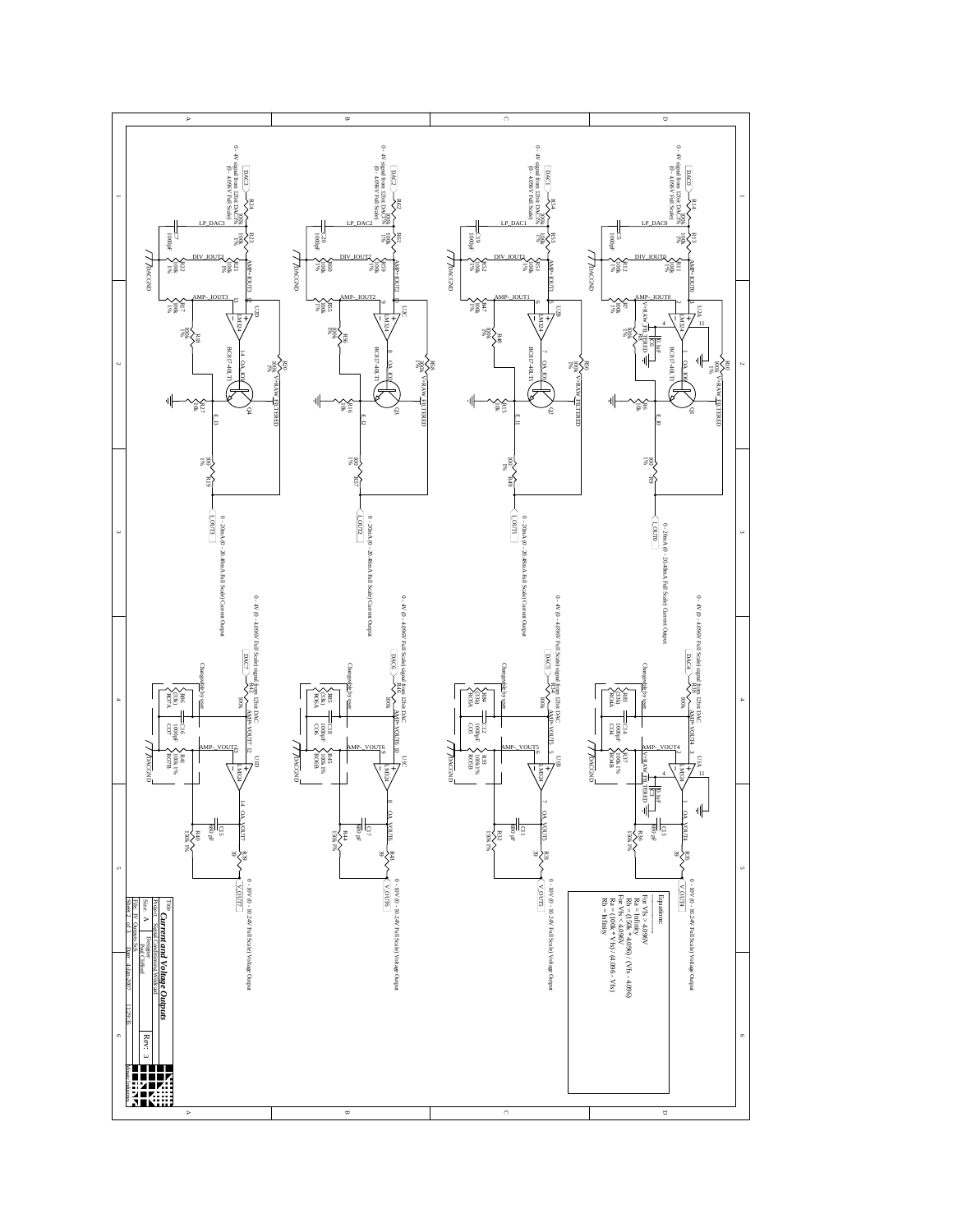